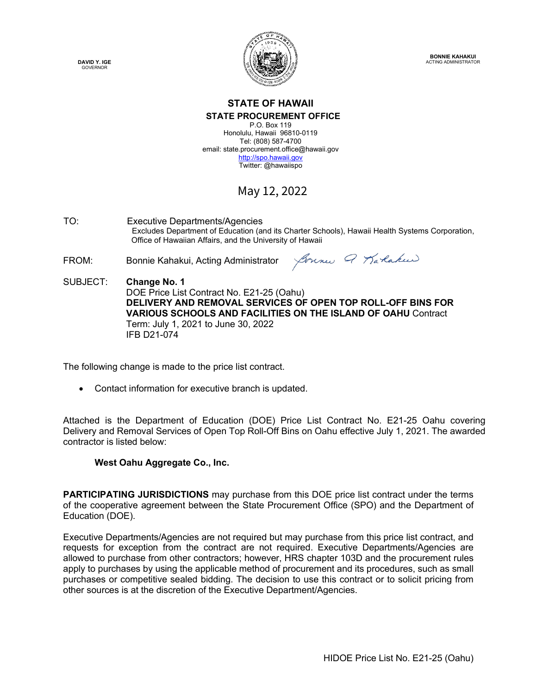**DAVID Y. IGE GOVERNOR** 



**BONNIE KAHAKUI** ACTING ADMINISTRATOR

## **STATE OF HAWAII STATE PROCUREMENT OFFICE** P.O. Box 119

Honolulu, Hawaii 96810-0119 Tel: (808) 587-4700 email: state.procurement.office@hawaii.gov http://spo.hawaii.gov Twitter: @hawaiispo

# May 12, 2022

TO: Executive Departments/Agencies Excludes Department of Education (and its Charter Schools), Hawaii Health Systems Corporation, Office of Hawaiian Affairs, and the University of Hawaii

FROM: Bonnie Kahakui, Acting Administrator

Joune Q Karlakee

SUBJECT: **Change No. 1** DOE Price List Contract No. E21-25 (Oahu) **DELIVERY AND REMOVAL SERVICES OF OPEN TOP ROLL-OFF BINS FOR VARIOUS SCHOOLS AND FACILITIES ON THE ISLAND OF OAHU** Contract Term: July 1, 2021 to June 30, 2022 IFB D21-074

The following change is made to the price list contract.

• Contact information for executive branch is updated.

Attached is the Department of Education (DOE) Price List Contract No. E21-25 Oahu covering Delivery and Removal Services of Open Top Roll-Off Bins on Oahu effective July 1, 2021. The awarded contractor is listed below:

# **West Oahu Aggregate Co., Inc.**

**PARTICIPATING JURISDICTIONS** may purchase from this DOE price list contract under the terms of the cooperative agreement between the State Procurement Office (SPO) and the Department of Education (DOE).

Executive Departments/Agencies are not required but may purchase from this price list contract, and requests for exception from the contract are not required. Executive Departments/Agencies are allowed to purchase from other contractors; however, HRS chapter 103D and the procurement rules apply to purchases by using the applicable method of procurement and its procedures, such as small purchases or competitive sealed bidding. The decision to use this contract or to solicit pricing from other sources is at the discretion of the Executive Department/Agencies.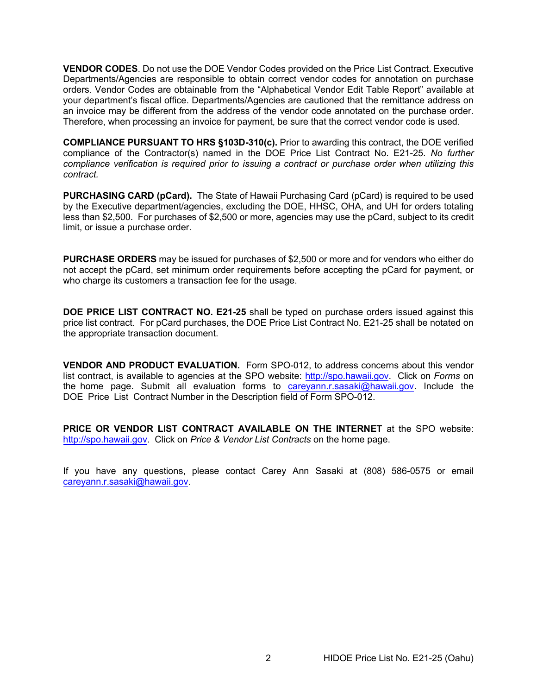**VENDOR CODES**. Do not use the DOE Vendor Codes provided on the Price List Contract. Executive Departments/Agencies are responsible to obtain correct vendor codes for annotation on purchase orders. Vendor Codes are obtainable from the "Alphabetical Vendor Edit Table Report" available at your department's fiscal office. Departments/Agencies are cautioned that the remittance address on an invoice may be different from the address of the vendor code annotated on the purchase order. Therefore, when processing an invoice for payment, be sure that the correct vendor code is used.

**COMPLIANCE PURSUANT TO HRS §103D-310(c).** Prior to awarding this contract, the DOE verified compliance of the Contractor(s) named in the DOE Price List Contract No. E21-25. *No further compliance verification is required prior to issuing a contract or purchase order when utilizing this contract.*

**PURCHASING CARD (pCard).** The State of Hawaii Purchasing Card (pCard) is required to be used by the Executive department/agencies, excluding the DOE, HHSC, OHA, and UH for orders totaling less than \$2,500. For purchases of \$2,500 or more, agencies may use the pCard, subject to its credit limit, or issue a purchase order.

**PURCHASE ORDERS** may be issued for purchases of \$2,500 or more and for vendors who either do not accept the pCard, set minimum order requirements before accepting the pCard for payment, or who charge its customers a transaction fee for the usage.

**DOE PRICE LIST CONTRACT NO. E21-25** shall be typed on purchase orders issued against this price list contract. For pCard purchases, the DOE Price List Contract No. E21-25 shall be notated on the appropriate transaction document.

**VENDOR AND PRODUCT EVALUATION.** Form SPO-012, to address concerns about this vendor list contract, is available to agencies at the SPO website: http://spo.hawaii.gov. Click on *Forms* on the home page. Submit all evaluation forms to carevann.r.sasaki@hawaii.gov. Include the DOE Price List Contract Number in the Description field of Form SPO-012.

**PRICE OR VENDOR LIST CONTRACT AVAILABLE ON THE INTERNET** at the SPO website: http://spo.hawaii.gov. Click on *Price & Vendor List Contracts* on the home page.

If you have any questions, please contact Carey Ann Sasaki at (808) 586-0575 or email careyann.r.sasaki@hawaii.gov.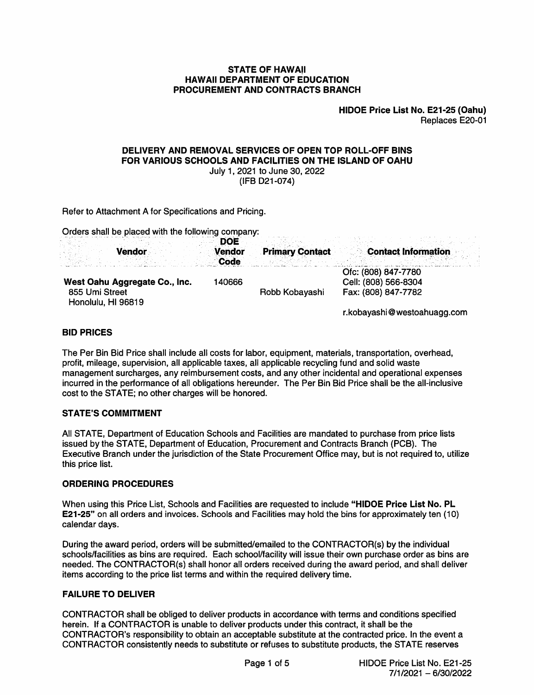#### **STATE OF HAWAII HAWAII DEPARTMENT OF EDUCATION** PROCUREMENT AND CONTRACTS BRANCH

HIDOE Price List No. E21-25 (Oahu) Replaces E20-01

# DELIVERY AND REMOVAL SERVICES OF OPEN TOP ROLL-OFF BINS FOR VARIOUS SCHOOLS AND FACILITIES ON THE ISLAND OF OAHU

July 1, 2021 to June 30, 2022

(IFB D21-074)

Refer to Attachment A for Specifications and Pricing.

Orders shall be placed with the following company:

| <b>Vendor</b>                                                         | DOE<br><b>Vendor</b><br><b>Code</b> | <b>Primary Contact</b> | <b>Contact Information</b>                                         |  |
|-----------------------------------------------------------------------|-------------------------------------|------------------------|--------------------------------------------------------------------|--|
| West Oahu Aggregate Co., Inc.<br>855 Umi Street<br>Honolulu, HI 96819 | 140666                              | Robb Kobayashi         | Ofc: (808) 847-7780<br>Cell: (808) 566-8304<br>Fax: (808) 847-7782 |  |

r.kobayashi@westoahuagg.com

## **BID PRICES**

The Per Bin Bid Price shall include all costs for labor, equipment, materials, transportation, overhead, profit, mileage, supervision, all applicable taxes, all applicable recycling fund and solid waste management surcharges, any reimbursement costs, and any other incidental and operational expenses incurred in the performance of all obligations hereunder. The Per Bin Bid Price shall be the all-inclusive cost to the STATE; no other charges will be honored.

## **STATE'S COMMITMENT**

All STATE. Department of Education Schools and Facilities are mandated to purchase from price lists issued by the STATE, Department of Education, Procurement and Contracts Branch (PCB). The Executive Branch under the jurisdiction of the State Procurement Office may, but is not required to, utilize this price list.

## **ORDERING PROCEDURES**

When using this Price List, Schools and Facilities are requested to include "HIDOE Price List No. PL E21-25" on all orders and invoices. Schools and Facilities may hold the bins for approximately ten (10) calendar days.

During the award period, orders will be submitted/emailed to the CONTRACTOR(s) by the individual schools/facilities as bins are required. Each school/facility will issue their own purchase order as bins are needed. The CONTRACTOR(s) shall honor all orders received during the award period, and shall deliver items according to the price list terms and within the required delivery time.

## **FAILURE TO DELIVER**

CONTRACTOR shall be obliged to deliver products in accordance with terms and conditions specified herein. If a CONTRACTOR is unable to deliver products under this contract, it shall be the CONTRACTOR's responsibility to obtain an acceptable substitute at the contracted price. In the event a CONTRACTOR consistently needs to substitute or refuses to substitute products, the STATE reserves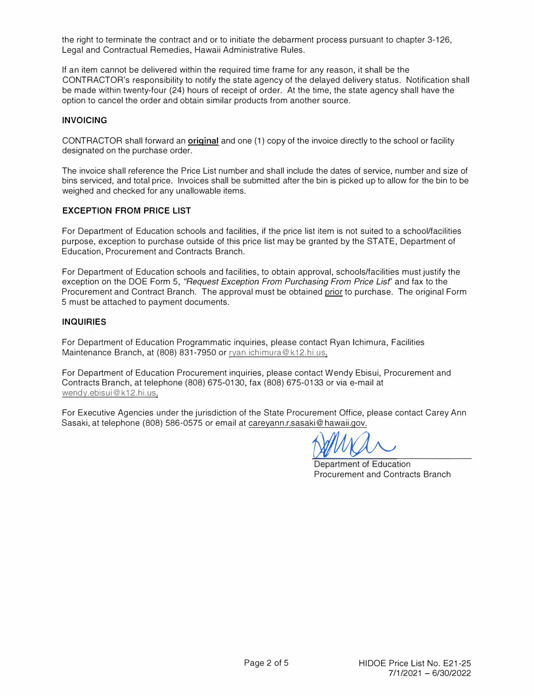the right to terminate the contract and or to initiate the debarment process pursuant to chapter 3-126, Legal and Contractual Remedies, Hawaii Administrative Rules.

If an item cannot be delivered within the required time frame for any reason, it shall be the CONTRACTOR's responsibility to notify the state agency of the delayed delivery status. Notification shall be made within twenty-four (24) hours of receipt of order. At the time, the state agency shall have the option to cancel the order and obtain similar products from another source.

#### **INVOICING**

CONTRACTOR shall forward an **original** and one (1) copy of the invoice directly to the school or facility designated on the purchase order.

The invoice shall reference the Price List number and shall include the dates of service, number and size of bins serviced, and total price. Invoices shall be submitted after the bin is picked up to allow for the bin to be weighed and checked for any unallowable items.

#### **EXCEPTION FROM PRICE LIST**

For Department of Education schools and facilities, if the price list item is not suited to a school/facilities purpose, exception to purchase outside of this price list may be granted by the STATE, Department of Education, Procurement and Contracts Branch.

For Department of Education schools and facilities, to obtain approval, schools/facilities must justify the exception on the DOE Form 5, *"Request Exception From Purchasing From Price Lisf'* and fax to the Procurement and Contract Branch. The approval must be obtained prior to purchase. The original Form 5 must be attached to payment documents.

#### **INQUIRIES**

For Department of Education Programmatic inquiries, please contact Ryan lchimura, Facilities Maintenance Branch, at (808) 831-7950 or ryan.ichimura@k12.hi.us.

For Department of Education Procurement inquiries, please contact Wendy Ebisui, Procurement and Contracts Branch, at telephone (808) 675-0130, fax (808) 675-0133 or via e-mail at wendy.ebisui@k12.hi.us.

For Executive Agencies under the jurisdiction of the State Procurement Office, please contact Carey Ann Sasaki, at telephone (808) 586-0575 or email at careyann.r.sasaki@hawaii.gov.

M. R.

Department of Education Procurement and Contracts Branch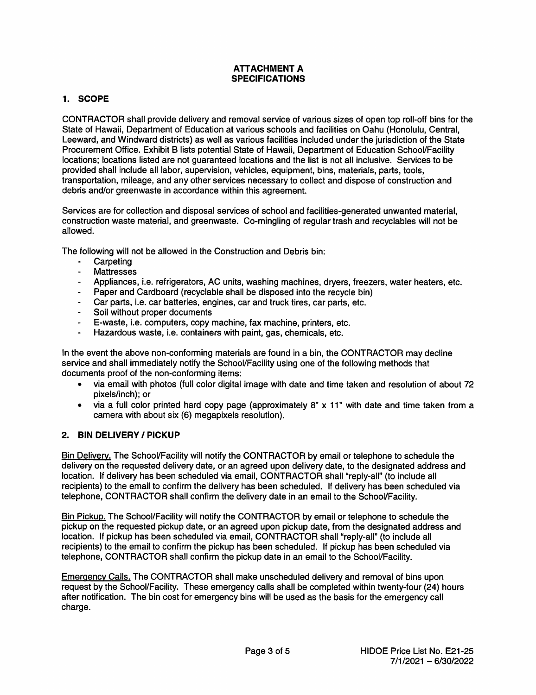## **ATTACHMENT A SPECIFICATIONS**

# 1. SCOPE

CONTRACTOR shall provide delivery and removal service of various sizes of open top roll-off bins for the State of Hawaii, Department of Education at various schools and facilities on Oahu (Honolulu, Central, Leeward, and Windward districts) as well as various facilities included under the jurisdiction of the State Procurement Office. Exhibit B lists potential State of Hawaii, Department of Education School/Facility locations; locations listed are not quaranteed locations and the list is not all inclusive. Services to be provided shall include all labor, supervision, vehicles, equipment, bins, materials, parts, tools, transportation, mileage, and any other services necessary to collect and dispose of construction and debris and/or greenwaste in accordance within this agreement.

Services are for collection and disposal services of school and facilities-generated unwanted material. construction waste material, and greenwaste. Co-mingling of regular trash and recyclables will not be allowed.

The following will not be allowed in the Construction and Debris bin:

- Carpeting
- **Mattresses**  $\overline{a}$
- Appliances, i.e. refrigerators, AC units, washing machines, dryers, freezers, water heaters, etc.
- Paper and Cardboard (recyclable shall be disposed into the recycle bin)
- Car parts, i.e. car batteries, engines, car and truck tires, car parts, etc.
- Soil without proper documents
- E-waste, i.e. computers, copy machine, fax machine, printers, etc.
- Hazardous waste, i.e. containers with paint, gas, chemicals, etc.

In the event the above non-conforming materials are found in a bin, the CONTRACTOR may decline service and shall immediately notify the School/Facility using one of the following methods that documents proof of the non-conforming items:

- via email with photos (full color digital image with date and time taken and resolution of about 72 pixels/inch): or
- via a full color printed hard copy page (approximately 8" x 11" with date and time taken from a camera with about six (6) megapixels resolution).

# 2. BIN DELIVERY / PICKUP

Bin Delivery. The School/Facility will notify the CONTRACTOR by email or telephone to schedule the delivery on the requested delivery date, or an agreed upon delivery date, to the designated address and location. If delivery has been scheduled via email, CONTRACTOR shall "reply-all" (to include all recipients) to the email to confirm the delivery has been scheduled. If delivery has been scheduled via telephone, CONTRACTOR shall confirm the delivery date in an email to the School/Facility.

Bin Pickup. The School/Facility will notify the CONTRACTOR by email or telephone to schedule the pickup on the requested pickup date, or an agreed upon pickup date, from the designated address and location. If pickup has been scheduled via email, CONTRACTOR shall "reply-all" (to include all recipients) to the email to confirm the pickup has been scheduled. If pickup has been scheduled via telephone, CONTRACTOR shall confirm the pickup date in an email to the School/Facility.

Emergency Calls. The CONTRACTOR shall make unscheduled delivery and removal of bins upon request by the School/Facility. These emergency calls shall be completed within twenty-four (24) hours after notification. The bin cost for emergency bins will be used as the basis for the emergency call charge.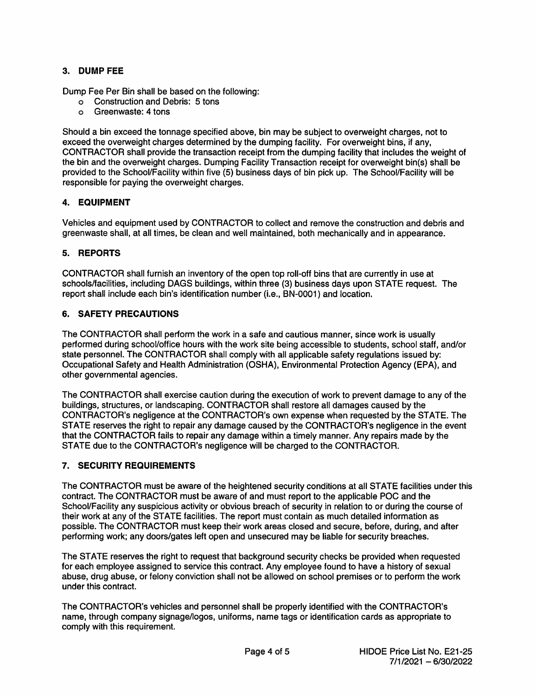# 3. DUMP FEE

Dump Fee Per Bin shall be based on the following:

- o Construction and Debris: 5 tons
- o Greenwaste: 4 tons

Should a bin exceed the tonnage specified above, bin may be subject to overweight charges, not to exceed the overweight charges determined by the dumping facility. For overweight bins, if any, CONTRACTOR shall provide the transaction receipt from the dumping facility that includes the weight of the bin and the overweight charges. Dumping Facility Transaction receipt for overweight bin(s) shall be provided to the School/Facility within five (5) business days of bin pick up. The School/Facility will be responsible for paving the overweight charges.

# 4. EQUIPMENT

Vehicles and equipment used by CONTRACTOR to collect and remove the construction and debris and greenwaste shall, at all times, be clean and well maintained, both mechanically and in appearance.

# 5. REPORTS

CONTRACTOR shall furnish an inventory of the open top roll-off bins that are currently in use at schools/facilities, including DAGS buildings, within three (3) business days upon STATE request. The report shall include each bin's identification number (i.e., BN-0001) and location.

# **6. SAFETY PRECAUTIONS**

The CONTRACTOR shall perform the work in a safe and cautious manner, since work is usually performed during school/office hours with the work site being accessible to students, school staff, and/or state personnel. The CONTRACTOR shall comply with all applicable safety requlations issued by: Occupational Safety and Health Administration (OSHA), Environmental Protection Agency (EPA), and other governmental agencies.

The CONTRACTOR shall exercise caution during the execution of work to prevent damage to any of the buildings, structures, or landscaping. CONTRACTOR shall restore all damages caused by the CONTRACTOR's negligence at the CONTRACTOR's own expense when requested by the STATE. The STATE reserves the right to repair any damage caused by the CONTRACTOR's negligence in the event that the CONTRACTOR fails to repair any damage within a timely manner. Any repairs made by the STATE due to the CONTRACTOR's negligence will be charged to the CONTRACTOR.

## 7. SECURITY REQUIREMENTS

The CONTRACTOR must be aware of the heightened security conditions at all STATE facilities under this contract. The CONTRACTOR must be aware of and must report to the applicable POC and the School/Facility any suspicious activity or obvious breach of security in relation to or during the course of their work at any of the STATE facilities. The report must contain as much detailed information as possible. The CONTRACTOR must keep their work areas closed and secure, before, during, and after performing work; any doors/gates left open and unsecured may be liable for security breaches.

The STATE reserves the right to request that background security checks be provided when requested for each employee assigned to service this contract. Any employee found to have a history of sexual abuse, drug abuse, or felony conviction shall not be allowed on school premises or to perform the work under this contract.

The CONTRACTOR's vehicles and personnel shall be properly identified with the CONTRACTOR's name, through company signage/logos, uniforms, name tags or identification cards as appropriate to comply with this requirement.